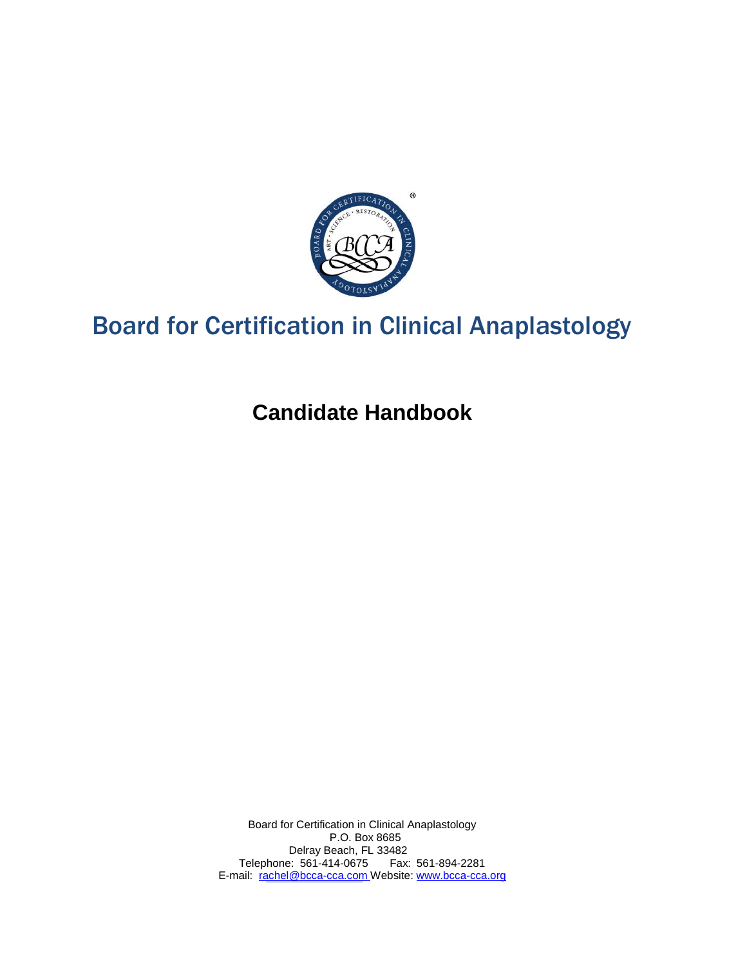

# Board for Certification in Clinical Anaplastology

**Candidate Handbook**

Board for Certification in Clinical Anaplastology P.O. Box 8685 Delray Beach, FL 33482 Telephone: 561-414-0675 Fax: 561-894-2281 E-mail: [rachel@bcca-cca.com W](mailto:rachel@bcca-cca.com)ebsite: [www.bcca-cca.org](http://www.bcca-cca.org/)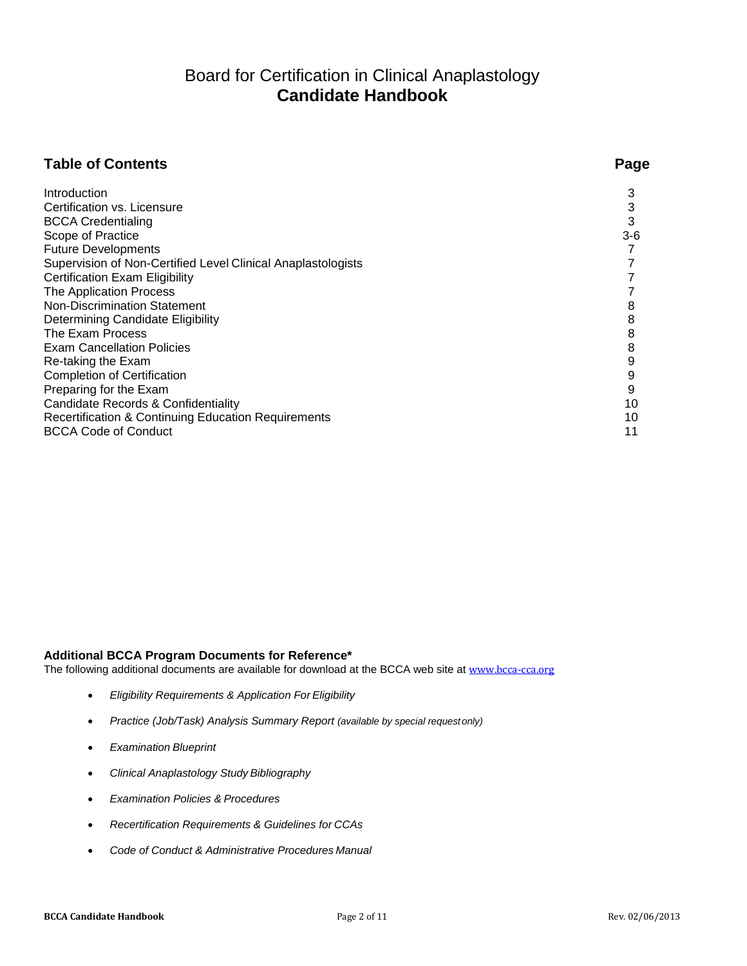# Board for Certification in Clinical Anaplastology **Candidate Handbook**

# **Table of Contents Page**

| Introduction                                                 | 3     |
|--------------------------------------------------------------|-------|
| Certification vs. Licensure                                  | 3     |
| <b>BCCA Credentialing</b>                                    | 3     |
| Scope of Practice                                            | $3-6$ |
| <b>Future Developments</b>                                   |       |
| Supervision of Non-Certified Level Clinical Anaplastologists |       |
|                                                              |       |
| <b>Certification Exam Eligibility</b>                        |       |
| The Application Process                                      |       |
| <b>Non-Discrimination Statement</b>                          | 8     |
| Determining Candidate Eligibility                            | 8     |
| The Exam Process                                             | 8     |
| <b>Exam Cancellation Policies</b>                            | 8     |
| Re-taking the Exam                                           | 9     |
| <b>Completion of Certification</b>                           | 9     |
| Preparing for the Exam                                       | 9     |
| Candidate Records & Confidentiality                          | 10    |
| Recertification & Continuing Education Requirements          | 10    |
| <b>BCCA Code of Conduct</b>                                  | 11    |

# **Additional BCCA Program Documents for Reference\***

The following additional documents are available for download at the BCCA web site at [www.bcca-cca.org](http://www.bcca-cca.org/)

- *Eligibility Requirements & Application For Eligibility*
- *Practice (Job/Task) Analysis Summary Report (available by special requestonly)*
- *Examination Blueprint*
- *Clinical Anaplastology Study Bibliography*
- *Examination Policies & Procedures*
- *Recertification Requirements & Guidelines for CCAs*
- *Code of Conduct & Administrative Procedures Manual*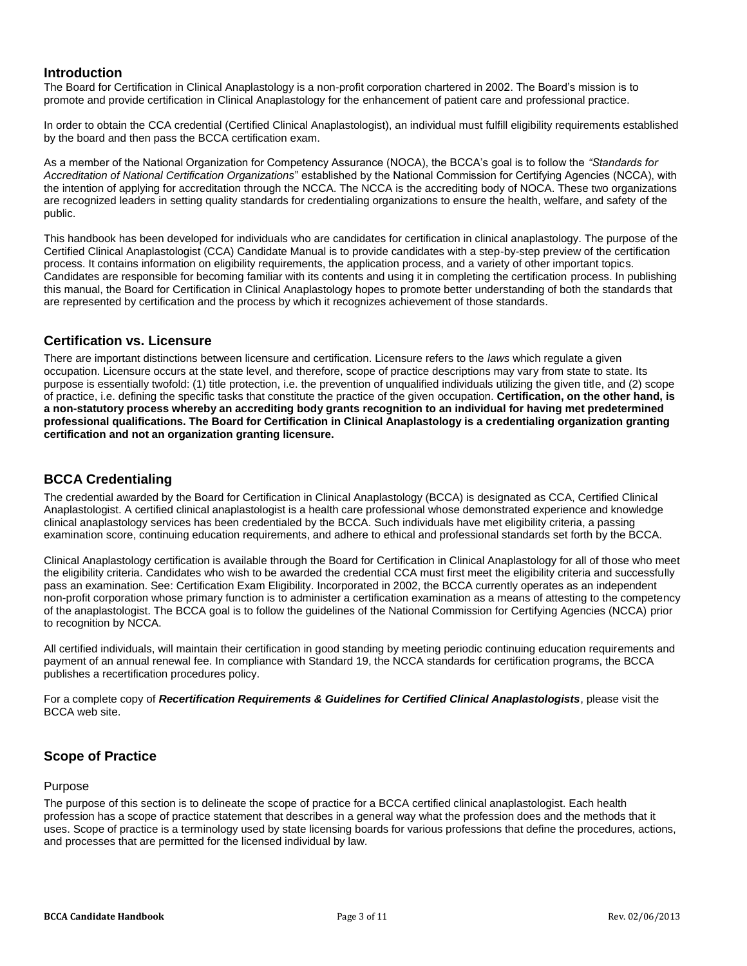# <span id="page-2-0"></span>**Introduction**

The Board for Certification in Clinical Anaplastology is a non-profit corporation chartered in 2002. The Board's mission is to promote and provide certification in Clinical Anaplastology for the enhancement of patient care and professional practice.

In order to obtain the CCA credential (Certified Clinical Anaplastologist), an individual must fulfill eligibility requirements established by the board and then pass the BCCA certification exam.

As a member of the National Organization for Competency Assurance (NOCA), the BCCA's goal is to follow the *"Standards for Accreditation of National Certification Organizations*" established by the National Commission for Certifying Agencies (NCCA), with the intention of applying for accreditation through the NCCA. The NCCA is the accrediting body of NOCA. These two organizations are recognized leaders in setting quality standards for credentialing organizations to ensure the health, welfare, and safety of the public.

This handbook has been developed for individuals who are candidates for certification in clinical anaplastology. The purpose of the Certified Clinical Anaplastologist (CCA) Candidate Manual is to provide candidates with a step-by-step preview of the certification process. It contains information on eligibility requirements, the application process, and a variety of other important topics. Candidates are responsible for becoming familiar with its contents and using it in completing the certification process. In publishing this manual, the Board for Certification in Clinical Anaplastology hopes to promote better understanding of both the standards that are represented by certification and the process by which it recognizes achievement of those standards.

# <span id="page-2-1"></span>**Certification vs. Licensure**

There are important distinctions between licensure and certification. Licensure refers to the *laws* which regulate a given occupation. Licensure occurs at the state level, and therefore, scope of practice descriptions may vary from state to state. Its purpose is essentially twofold: (1) title protection, i.e. the prevention of unqualified individuals utilizing the given title, and (2) scope of practice, i.e. defining the specific tasks that constitute the practice of the given occupation. **Certification, on the other hand, is a non-statutory process whereby an accrediting body grants recognition to an individual for having met predetermined professional qualifications. The Board for Certification in Clinical Anaplastology is a credentialing organization granting certification and not an organization granting licensure.**

# <span id="page-2-2"></span>**BCCA Credentialing**

The credential awarded by the Board for Certification in Clinical Anaplastology (BCCA) is designated as CCA, Certified Clinical Anaplastologist. A certified clinical anaplastologist is a health care professional whose demonstrated experience and knowledge clinical anaplastology services has been credentialed by the BCCA. Such individuals have met eligibility criteria, a passing examination score, continuing education requirements, and adhere to ethical and professional standards set forth by the BCCA.

Clinical Anaplastology certification is available through the Board for Certification in Clinical Anaplastology for all of those who meet the eligibility criteria. Candidates who wish to be awarded the credential CCA must first meet the eligibility criteria and successfully pass an examination. See: Certification Exam Eligibility. Incorporated in 2002, the BCCA currently operates as an independent non-profit corporation whose primary function is to administer a certification examination as a means of attesting to the competency of the anaplastologist. The BCCA goal is to follow the guidelines of the National Commission for Certifying Agencies (NCCA) prior to recognition by NCCA.

All certified individuals, will maintain their certification in good standing by meeting periodic continuing education requirements and payment of an annual renewal fee. In compliance with Standard 19, the NCCA standards for certification programs, the BCCA publishes a recertification procedures policy.

For a complete copy of *Recertification Requirements & Guidelines for Certified Clinical Anaplastologists*, please visit the BCCA web site.

# <span id="page-2-3"></span>**Scope of Practice**

#### Purpose

The purpose of this section is to delineate the scope of practice for a BCCA certified clinical anaplastologist. Each health profession has a scope of practice statement that describes in a general way what the profession does and the methods that it uses. Scope of practice is a terminology used by state licensing boards for various professions that define the procedures, actions, and processes that are permitted for the licensed individual by law.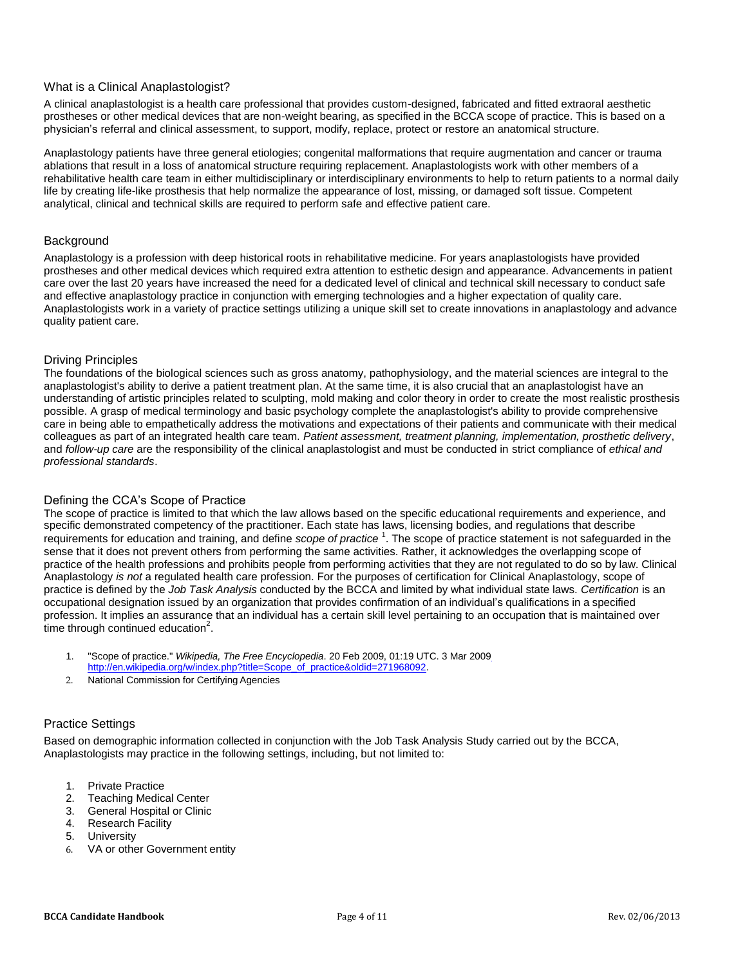#### What is a Clinical Anaplastologist?

A clinical anaplastologist is a health care professional that provides custom-designed, fabricated and fitted extraoral aesthetic prostheses or other medical devices that are non-weight bearing, as specified in the BCCA scope of practice. This is based on a physician's referral and clinical assessment, to support, modify, replace, protect or restore an anatomical structure.

Anaplastology patients have three general etiologies; congenital malformations that require augmentation and cancer or trauma ablations that result in a loss of anatomical structure requiring replacement. Anaplastologists work with other members of a rehabilitative health care team in either multidisciplinary or interdisciplinary environments to help to return patients to a normal daily life by creating life-like prosthesis that help normalize the appearance of lost, missing, or damaged soft tissue. Competent analytical, clinical and technical skills are required to perform safe and effective patient care.

#### **Background**

Anaplastology is a profession with deep historical roots in rehabilitative medicine. For years anaplastologists have provided prostheses and other medical devices which required extra attention to esthetic design and appearance. Advancements in patient care over the last 20 years have increased the need for a dedicated level of clinical and technical skill necessary to conduct safe and effective anaplastology practice in conjunction with emerging technologies and a higher expectation of quality care. Anaplastologists work in a variety of practice settings utilizing a unique skill set to create innovations in anaplastology and advance quality patient care.

#### Driving Principles

The foundations of the biological sciences such as gross anatomy, pathophysiology, and the material sciences are integral to the anaplastologist's ability to derive a patient treatment plan. At the same time, it is also crucial that an anaplastologist have an understanding of artistic principles related to sculpting, mold making and color theory in order to create the most realistic prosthesis possible. A grasp of medical terminology and basic psychology complete the anaplastologist's ability to provide comprehensive care in being able to empathetically address the motivations and expectations of their patients and communicate with their medical colleagues as part of an integrated health care team. *Patient assessment, treatment planning, implementation, prosthetic delivery*, and *follow-up care* are the responsibility of the clinical anaplastologist and must be conducted in strict compliance of *ethical and professional standards*.

#### Defining the CCA's Scope of Practice

The scope of practice is limited to that which the law allows based on the specific educational requirements and experience, and specific demonstrated competency of the practitioner. Each state has laws, licensing bodies, and regulations that describe requirements for education and training, and define *scope of practice* <sup>1</sup>. The scope of practice statement is not safeguarded in the sense that it does not prevent others from performing the same activities. Rather, it acknowledges the overlapping scope of practice of the health professions and prohibits people from performing activities that they are not regulated to do so by law. Clinical Anaplastology *is not* a regulated health care profession. For the purposes of certification for Clinical Anaplastology, scope of practice is defined by the *Job Task Analysis* conducted by the BCCA and limited by what individual state laws. *Certification* is an occupational designation issued by an organization that provides confirmation of an individual's qualifications in a specified profession. It implies an assurance that an individual has a certain skill level pertaining to an occupation that is maintained over time through continued education $^2$ .

- 1. "Scope of practice." *Wikipedia, The Free Encyclopedia*. 20 Feb 2009, 01:19 UTC. 3 Mar 200[9](http://en.wikipedia.org/w/index.php?title=Scope_of_practice&oldid=271968092) [http://en.wikipedia.org/w/index.php?title=Scope\\_of\\_practice&oldid=271968092.](http://en.wikipedia.org/w/index.php?title=Scope_of_practice&oldid=271968092)
- 2. National Commission for Certifying Agencies

# Practice Settings

Based on demographic information collected in conjunction with the Job Task Analysis Study carried out by the BCCA, Anaplastologists may practice in the following settings, including, but not limited to:

- 1. Private Practice
- 2. Teaching Medical Center
- 3. General Hospital or Clinic
- 4. Research Facility
- 5. University
- 6. VA or other Government entity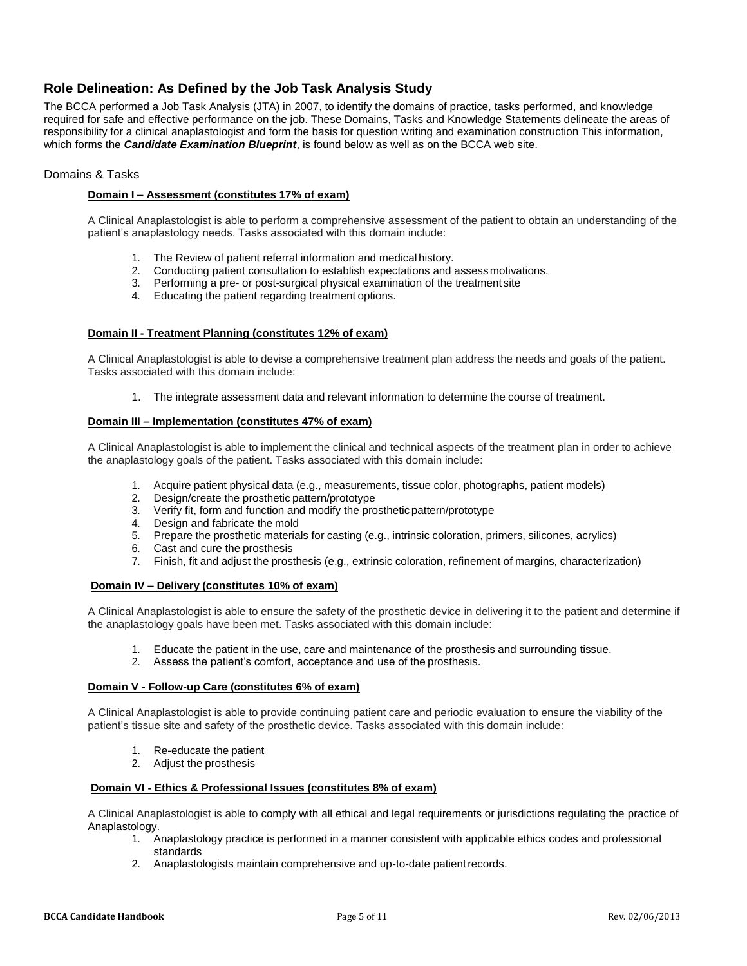# **Role Delineation: As Defined by the Job Task Analysis Study**

The BCCA performed a Job Task Analysis (JTA) in 2007, to identify the domains of practice, tasks performed, and knowledge required for safe and effective performance on the job. These Domains, Tasks and Knowledge Statements delineate the areas of responsibility for a clinical anaplastologist and form the basis for question writing and examination construction This information, which forms the *Candidate Examination Blueprint*, is found below as well as on the BCCA web site.

#### Domains & Tasks

#### **Domain I – Assessment (constitutes 17% of exam)**

A Clinical Anaplastologist is able to perform a comprehensive assessment of the patient to obtain an understanding of the patient's anaplastology needs. Tasks associated with this domain include:

- 1. The Review of patient referral information and medical history.
- 2. Conducting patient consultation to establish expectations and assessmotivations.
- 3. Performing a pre- or post-surgical physical examination of the treatment site
- 4. Educating the patient regarding treatment options.

#### **Domain II - Treatment Planning (constitutes 12% of exam)**

A Clinical Anaplastologist is able to devise a comprehensive treatment plan address the needs and goals of the patient. Tasks associated with this domain include:

1. The integrate assessment data and relevant information to determine the course of treatment.

#### **Domain III – Implementation (constitutes 47% of exam)**

A Clinical Anaplastologist is able to implement the clinical and technical aspects of the treatment plan in order to achieve the anaplastology goals of the patient. Tasks associated with this domain include:

- 1. Acquire patient physical data (e.g., measurements, tissue color, photographs, patient models)
- 2. Design/create the prosthetic pattern/prototype
- 3. Verify fit, form and function and modify the prostheticpattern/prototype
- 4. Design and fabricate the mold
- 5. Prepare the prosthetic materials for casting (e.g., intrinsic coloration, primers, silicones, acrylics)
- 6. Cast and cure the prosthesis
- 7. Finish, fit and adjust the prosthesis (e.g., extrinsic coloration, refinement of margins, characterization)

#### **Domain IV – Delivery (constitutes 10% of exam)**

A Clinical Anaplastologist is able to ensure the safety of the prosthetic device in delivering it to the patient and determine if the anaplastology goals have been met. Tasks associated with this domain include:

- 1. Educate the patient in the use, care and maintenance of the prosthesis and surrounding tissue.
- 2. Assess the patient's comfort, acceptance and use of the prosthesis.

#### **Domain V - Follow-up Care (constitutes 6% of exam)**

A Clinical Anaplastologist is able to provide continuing patient care and periodic evaluation to ensure the viability of the patient's tissue site and safety of the prosthetic device. Tasks associated with this domain include:

- 1. Re-educate the patient
- 2. Adjust the prosthesis

#### **Domain VI - Ethics & Professional Issues (constitutes 8% of exam)**

A Clinical Anaplastologist is able to comply with all ethical and legal requirements or jurisdictions regulating the practice of Anaplastology.

- 1. Anaplastology practice is performed in a manner consistent with applicable ethics codes and professional standards
- 2. Anaplastologists maintain comprehensive and up-to-date patientrecords.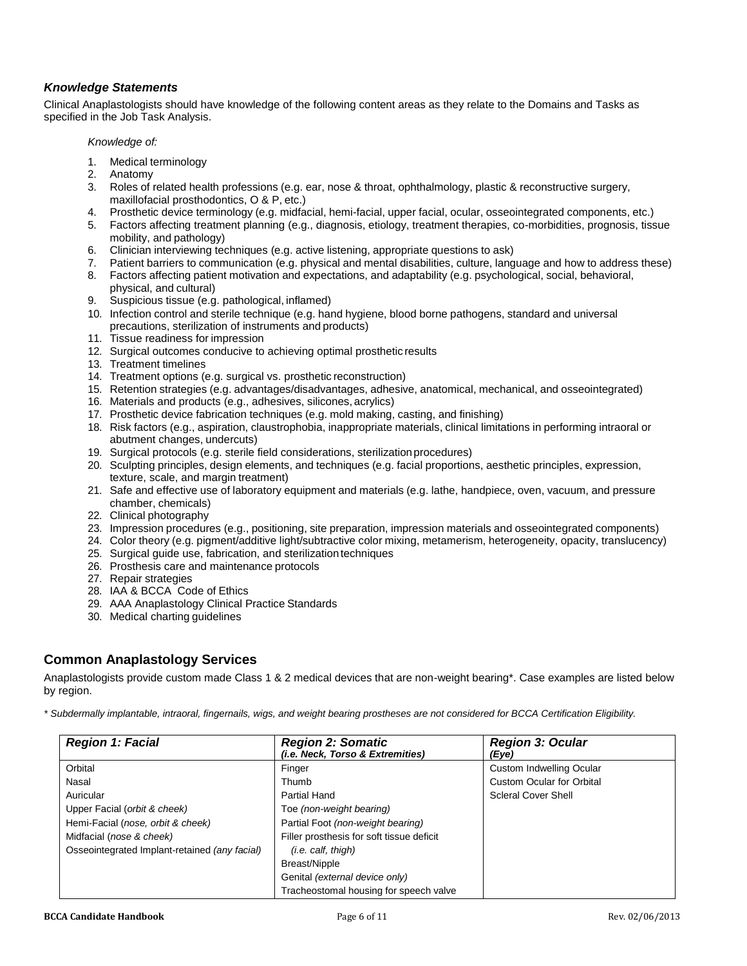# *Knowledge Statements*

Clinical Anaplastologists should have knowledge of the following content areas as they relate to the Domains and Tasks as specified in the Job Task Analysis.

*Knowledge of:*

- 1. Medical terminology
- 2. Anatomy
- 3. Roles of related health professions (e.g. ear, nose & throat, ophthalmology, plastic & reconstructive surgery, maxillofacial prosthodontics, O & P, etc.)
- 4. Prosthetic device terminology (e.g. midfacial, hemi-facial, upper facial, ocular, osseointegrated components, etc.)
- 5. Factors affecting treatment planning (e.g., diagnosis, etiology, treatment therapies, co-morbidities, prognosis, tissue mobility, and pathology)
- 6. Clinician interviewing techniques (e.g. active listening, appropriate questions to ask)
- 7. Patient barriers to communication (e.g. physical and mental disabilities, culture, language and how to address these)
- 8. Factors affecting patient motivation and expectations, and adaptability (e.g. psychological, social, behavioral, physical, and cultural)
- 9. Suspicious tissue (e.g. pathological, inflamed)
- 10. Infection control and sterile technique (e.g. hand hygiene, blood borne pathogens, standard and universal precautions, sterilization of instruments and products)
- 11. Tissue readiness for impression
- 12. Surgical outcomes conducive to achieving optimal prosthetic results
- 13. Treatment timelines
- 14. Treatment options (e.g. surgical vs. prosthetic reconstruction)
- 15. Retention strategies (e.g. advantages/disadvantages, adhesive, anatomical, mechanical, and osseointegrated)
- 16. Materials and products (e.g., adhesives, silicones, acrylics)
- 17. Prosthetic device fabrication techniques (e.g. mold making, casting, and finishing)
- 18. Risk factors (e.g., aspiration, claustrophobia, inappropriate materials, clinical limitations in performing intraoral or abutment changes, undercuts)
- 19. Surgical protocols (e.g. sterile field considerations, sterilizationprocedures)
- 20. Sculpting principles, design elements, and techniques (e.g. facial proportions, aesthetic principles, expression, texture, scale, and margin treatment)
- 21. Safe and effective use of laboratory equipment and materials (e.g. lathe, handpiece, oven, vacuum, and pressure chamber, chemicals)
- 22. Clinical photography
- 23. Impression procedures (e.g., positioning, site preparation, impression materials and osseointegrated components)
- 24. Color theory (e.g. pigment/additive light/subtractive color mixing, metamerism, heterogeneity, opacity, translucency)
- 25. Surgical guide use, fabrication, and sterilizationtechniques
- 26. Prosthesis care and maintenance protocols
- 27. Repair strategies
- 28. IAA & BCCA Code of Ethics
- 29. AAA Anaplastology Clinical Practice Standards
- 30. Medical charting guidelines

# **Common Anaplastology Services**

Anaplastologists provide custom made Class 1 & 2 medical devices that are non-weight bearing\*. Case examples are listed below by region.

*\* Subdermally implantable, intraoral, fingernails, wigs, and weight bearing prostheses are not considered for BCCA Certification Eligibility.*

| <b>Region 1: Facial</b>                       | <b>Region 2: Somatic</b><br>(i.e. Neck, Torso & Extremities) | <b>Region 3: Ocular</b><br>(Eye) |
|-----------------------------------------------|--------------------------------------------------------------|----------------------------------|
| Orbital                                       | Finger                                                       | Custom Indwelling Ocular         |
| Nasal                                         | Thumb                                                        | <b>Custom Ocular for Orbital</b> |
| Auricular                                     | Partial Hand                                                 | <b>Scleral Cover Shell</b>       |
| Upper Facial (orbit & cheek)                  | Toe (non-weight bearing)                                     |                                  |
| Hemi-Facial (nose, orbit & cheek)             | Partial Foot (non-weight bearing)                            |                                  |
| Midfacial (nose & cheek)                      | Filler prosthesis for soft tissue deficit                    |                                  |
| Osseointegrated Implant-retained (any facial) | $(i.e.$ calf, thigh)                                         |                                  |
|                                               | Breast/Nipple                                                |                                  |
|                                               | Genital (external device only)                               |                                  |
|                                               | Tracheostomal housing for speech valve                       |                                  |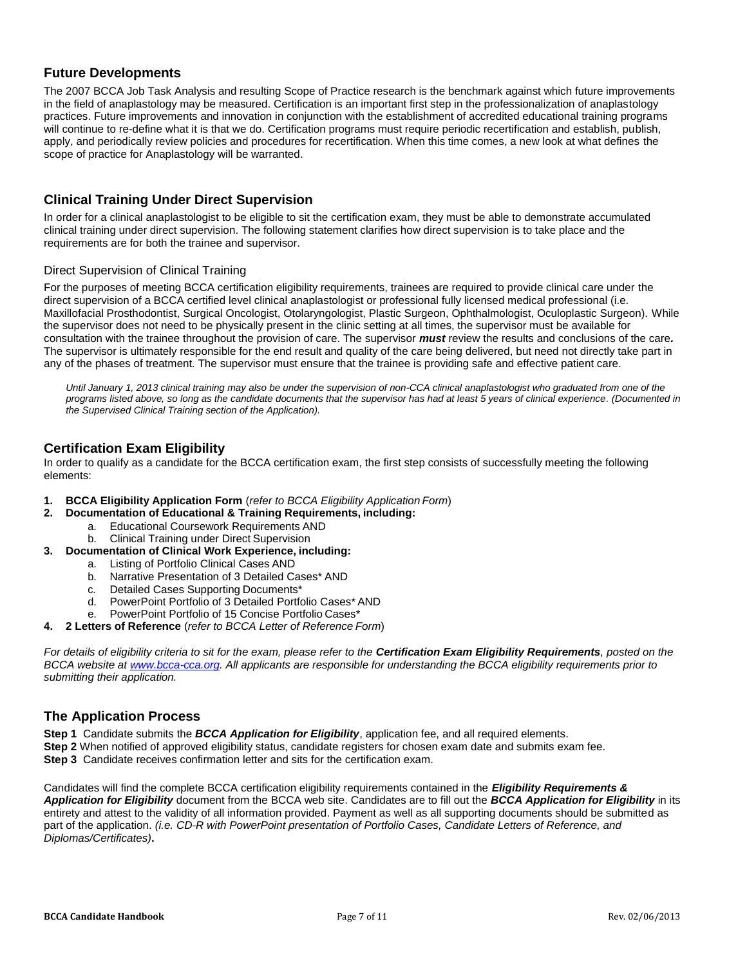# <span id="page-6-0"></span>**Future Developments**

The 2007 BCCA Job Task Analysis and resulting Scope of Practice research is the benchmark against which future improvements in the field of anaplastology may be measured. Certification is an important first step in the professionalization of anaplastology practices. Future improvements and innovation in conjunction with the establishment of accredited educational training programs will continue to re-define what it is that we do. Certification programs must require periodic recertification and establish, publish, apply, and periodically review policies and procedures for recertification. When this time comes, a new look at what defines the scope of practice for Anaplastology will be warranted.

# **Clinical Training Under Direct Supervision**

In order for a clinical anaplastologist to be eligible to sit the certification exam, they must be able to demonstrate accumulated clinical training under direct supervision. The following statement clarifies how direct supervision is to take place and the requirements are for both the trainee and supervisor.

#### Direct Supervision of Clinical Training

For the purposes of meeting BCCA certification eligibility requirements, trainees are required to provide clinical care under the direct supervision of a BCCA certified level clinical anaplastologist or professional fully licensed medical professional (i.e. Maxillofacial Prosthodontist, Surgical Oncologist, Otolaryngologist, Plastic Surgeon, Ophthalmologist, Oculoplastic Surgeon). While the supervisor does not need to be physically present in the clinic setting at all times, the supervisor must be available for consultation with the trainee throughout the provision of care. The supervisor *must* review the results and conclusions of the care*.*  The supervisor is ultimately responsible for the end result and quality of the care being delivered, but need not directly take part in any of the phases of treatment. The supervisor must ensure that the trainee is providing safe and effective patient care.

*Until January 1, 2013 clinical training may also be under the supervision of non-CCA clinical anaplastologist who graduated from one of the programs listed above, so long as the candidate documents that the supervisor has had at least 5 years of clinical experience. (Documented in the Supervised Clinical Training section of the Application).*

# <span id="page-6-1"></span>**Certification Exam Eligibility**

In order to qualify as a candidate for the BCCA certification exam, the first step consists of successfully meeting the following elements:

- **1. BCCA Eligibility Application Form** (*refer to BCCA Eligibility Application Form*)
- **2. Documentation of Educational & Training Requirements, including:**
	- a. Educational Coursework Requirements AND
	- b. Clinical Training under Direct Supervision
- **3. Documentation of Clinical Work Experience, including:**
	- a. Listing of Portfolio Clinical Cases AND
	- b. Narrative Presentation of 3 Detailed Cases\* AND
	- c. Detailed Cases Supporting Documents\*
	- d. PowerPoint Portfolio of 3 Detailed Portfolio Cases\* AND
	- e. PowerPoint Portfolio of 15 Concise Portfolio Cases\*
- **4. 2 Letters of Reference** (*refer to BCCA Letter of Reference Form*)

*For details of eligibility criteria to sit for the exam, please refer to the Certification Exam Eligibility Requirements, posted on the BCCA website a[t www.bcca-cca.org.](http://www.bcca-cca.org/) All applicants are responsible for understanding the BCCA eligibility requirements prior to submitting their application.*

# <span id="page-6-2"></span>**The Application Process**

**Step 1** Candidate submits the *BCCA Application for Eligibility*, application fee, and all required elements.

**Step 2** When notified of approved eligibility status, candidate registers for chosen exam date and submits exam fee.

**Step 3** Candidate receives confirmation letter and sits for the certification exam.

Candidates will find the complete BCCA certification eligibility requirements contained in the *Eligibility Requirements & Application for Eligibility* document from the BCCA web site. Candidates are to fill out the *BCCA Application for Eligibility* in its entirety and attest to the validity of all information provided. Payment as well as all supporting documents should be submitted as part of the application. *(i.e. CD-R with PowerPoint presentation of Portfolio Cases, Candidate Letters of Reference, and Diplomas/Certificates)***.**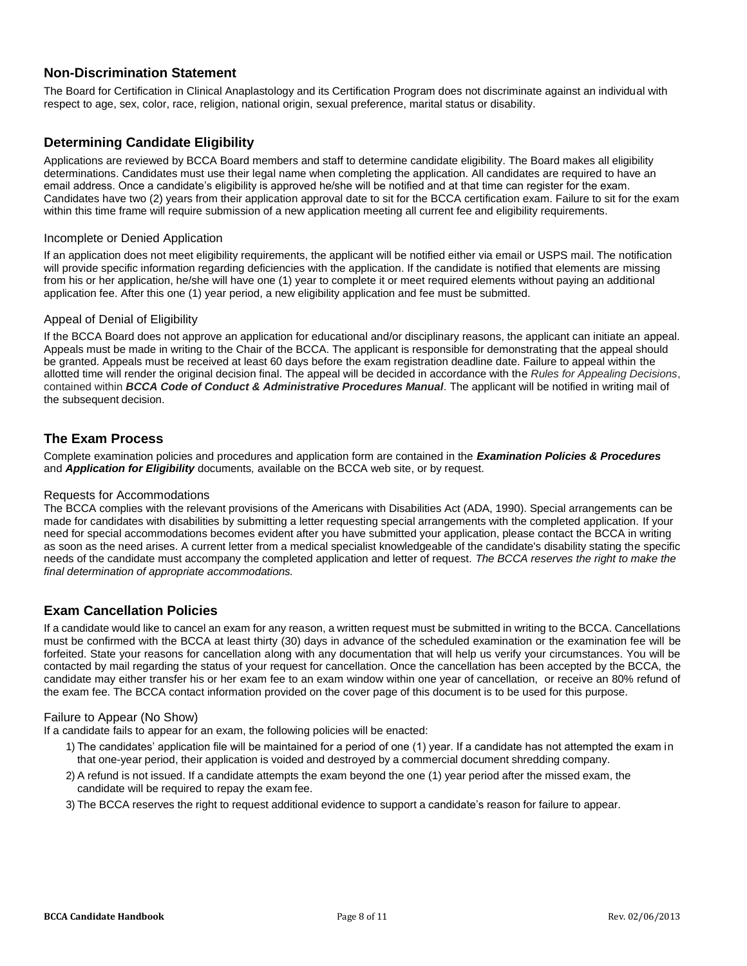# <span id="page-7-0"></span>**Non-Discrimination Statement**

The Board for Certification in Clinical Anaplastology and its Certification Program does not discriminate against an individual with respect to age, sex, color, race, religion, national origin, sexual preference, marital status or disability.

# <span id="page-7-1"></span>**Determining Candidate Eligibility**

Applications are reviewed by BCCA Board members and staff to determine candidate eligibility. The Board makes all eligibility determinations. Candidates must use their legal name when completing the application. All candidates are required to have an email address. Once a candidate's eligibility is approved he/she will be notified and at that time can register for the exam. Candidates have two (2) years from their application approval date to sit for the BCCA certification exam. Failure to sit for the exam within this time frame will require submission of a new application meeting all current fee and eligibility requirements.

#### Incomplete or Denied Application

If an application does not meet eligibility requirements, the applicant will be notified either via email or USPS mail. The notification will provide specific information regarding deficiencies with the application. If the candidate is notified that elements are missing from his or her application, he/she will have one (1) year to complete it or meet required elements without paying an additional application fee. After this one (1) year period, a new eligibility application and fee must be submitted.

#### Appeal of Denial of Eligibility

If the BCCA Board does not approve an application for educational and/or disciplinary reasons, the applicant can initiate an appeal. Appeals must be made in writing to the Chair of the BCCA. The applicant is responsible for demonstrating that the appeal should be granted. Appeals must be received at least 60 days before the exam registration deadline date. Failure to appeal within the allotted time will render the original decision final. The appeal will be decided in accordance with the *Rules for Appealing Decisions*, contained within *BCCA Code of Conduct & Administrative Procedures Manual*. The applicant will be notified in writing mail of the subsequent decision.

# <span id="page-7-2"></span>**The Exam Process**

Complete examination policies and procedures and application form are contained in the *Examination Policies & Procedures* and *Application for Eligibility* documents*,* available on the BCCA web site, or by request.

#### Requests for Accommodations

The BCCA complies with the relevant provisions of the Americans with Disabilities Act (ADA, 1990). Special arrangements can be made for candidates with disabilities by submitting a letter requesting special arrangements with the completed application. If your need for special accommodations becomes evident after you have submitted your application, please contact the BCCA in writing as soon as the need arises. A current letter from a medical specialist knowledgeable of the candidate's disability stating the specific needs of the candidate must accompany the completed application and letter of request. *The BCCA reserves the right to make the final determination of appropriate accommodations.*

# <span id="page-7-3"></span>**Exam Cancellation Policies**

If a candidate would like to cancel an exam for any reason, a written request must be submitted in writing to the BCCA. Cancellations must be confirmed with the BCCA at least thirty (30) days in advance of the scheduled examination or the examination fee will be forfeited. State your reasons for cancellation along with any documentation that will help us verify your circumstances. You will be contacted by mail regarding the status of your request for cancellation. Once the cancellation has been accepted by the BCCA, the candidate may either transfer his or her exam fee to an exam window within one year of cancellation, or receive an 80% refund of the exam fee. The BCCA contact information provided on the cover page of this document is to be used for this purpose.

#### Failure to Appear (No Show)

If a candidate fails to appear for an exam, the following policies will be enacted:

- 1) The candidates' application file will be maintained for a period of one (1) year. If a candidate has not attempted the exam in that one-year period, their application is voided and destroyed by a commercial document shredding company.
- 2) A refund is not issued. If a candidate attempts the exam beyond the one (1) year period after the missed exam, the candidate will be required to repay the exam fee.
- 3) The BCCA reserves the right to request additional evidence to support a candidate's reason for failure to appear.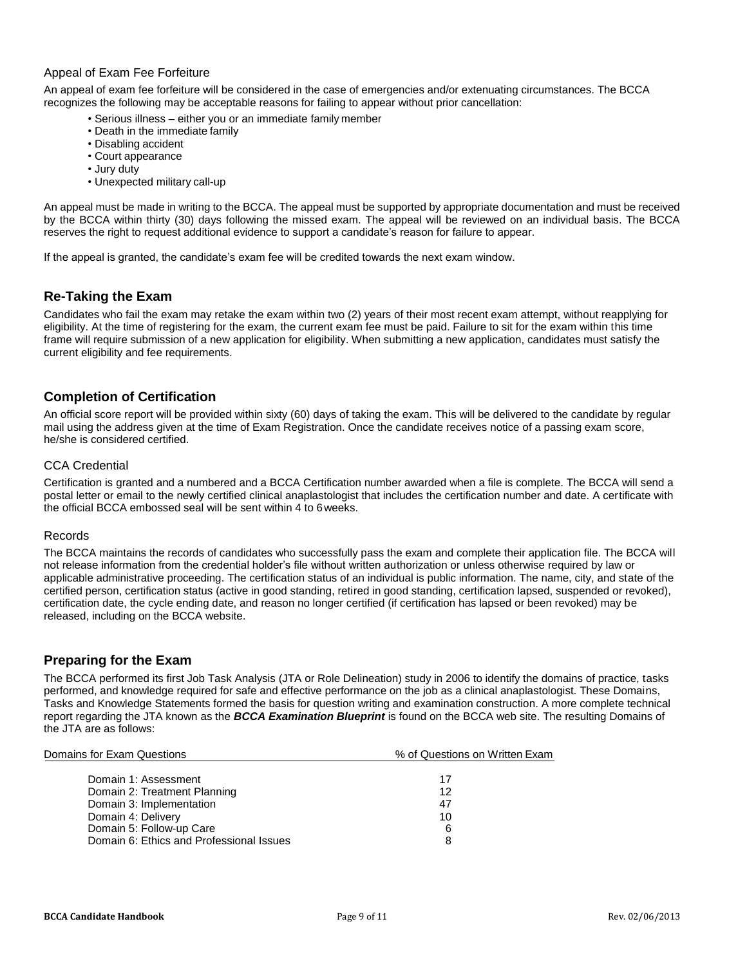#### Appeal of Exam Fee Forfeiture

An appeal of exam fee forfeiture will be considered in the case of emergencies and/or extenuating circumstances. The BCCA recognizes the following may be acceptable reasons for failing to appear without prior cancellation:

- Serious illness either you or an immediate family member
- Death in the immediate family
- Disabling accident
- Court appearance
- Jury duty
- Unexpected military call-up

An appeal must be made in writing to the BCCA. The appeal must be supported by appropriate documentation and must be received by the BCCA within thirty (30) days following the missed exam. The appeal will be reviewed on an individual basis. The BCCA reserves the right to request additional evidence to support a candidate's reason for failure to appear.

If the appeal is granted, the candidate's exam fee will be credited towards the next exam window.

# <span id="page-8-0"></span>**Re-Taking the Exam**

Candidates who fail the exam may retake the exam within two (2) years of their most recent exam attempt, without reapplying for eligibility. At the time of registering for the exam, the current exam fee must be paid. Failure to sit for the exam within this time frame will require submission of a new application for eligibility. When submitting a new application, candidates must satisfy the current eligibility and fee requirements.

# <span id="page-8-1"></span>**Completion of Certification**

An official score report will be provided within sixty (60) days of taking the exam. This will be delivered to the candidate by regular mail using the address given at the time of Exam Registration. Once the candidate receives notice of a passing exam score, he/she is considered certified.

#### CCA Credential

Certification is granted and a numbered and a BCCA Certification number awarded when a file is complete. The BCCA will send a postal letter or email to the newly certified clinical anaplastologist that includes the certification number and date. A certificate with the official BCCA embossed seal will be sent within 4 to 6weeks.

#### Records

The BCCA maintains the records of candidates who successfully pass the exam and complete their application file. The BCCA will not release information from the credential holder's file without written authorization or unless otherwise required by law or applicable administrative proceeding. The certification status of an individual is public information. The name, city, and state of the certified person, certification status (active in good standing, retired in good standing, certification lapsed, suspended or revoked), certification date, the cycle ending date, and reason no longer certified (if certification has lapsed or been revoked) may be released, including on the BCCA website.

# <span id="page-8-2"></span>**Preparing for the Exam**

The BCCA performed its first Job Task Analysis (JTA or Role Delineation) study in 2006 to identify the domains of practice, tasks performed, and knowledge required for safe and effective performance on the job as a clinical anaplastologist. These Domains, Tasks and Knowledge Statements formed the basis for question writing and examination construction. A more complete technical report regarding the JTA known as the *BCCA Examination Blueprint* is found on the BCCA web site. The resulting Domains of the JTA are as follows:

| Domains for Exam Questions               | % of Questions on Written Exam |  |
|------------------------------------------|--------------------------------|--|
| Domain 1: Assessment                     | 17                             |  |
| Domain 2: Treatment Planning             | 12                             |  |
| Domain 3: Implementation                 | 47                             |  |
| Domain 4: Delivery                       | 10                             |  |
| Domain 5: Follow-up Care                 | 6                              |  |
| Domain 6: Ethics and Professional Issues |                                |  |
|                                          |                                |  |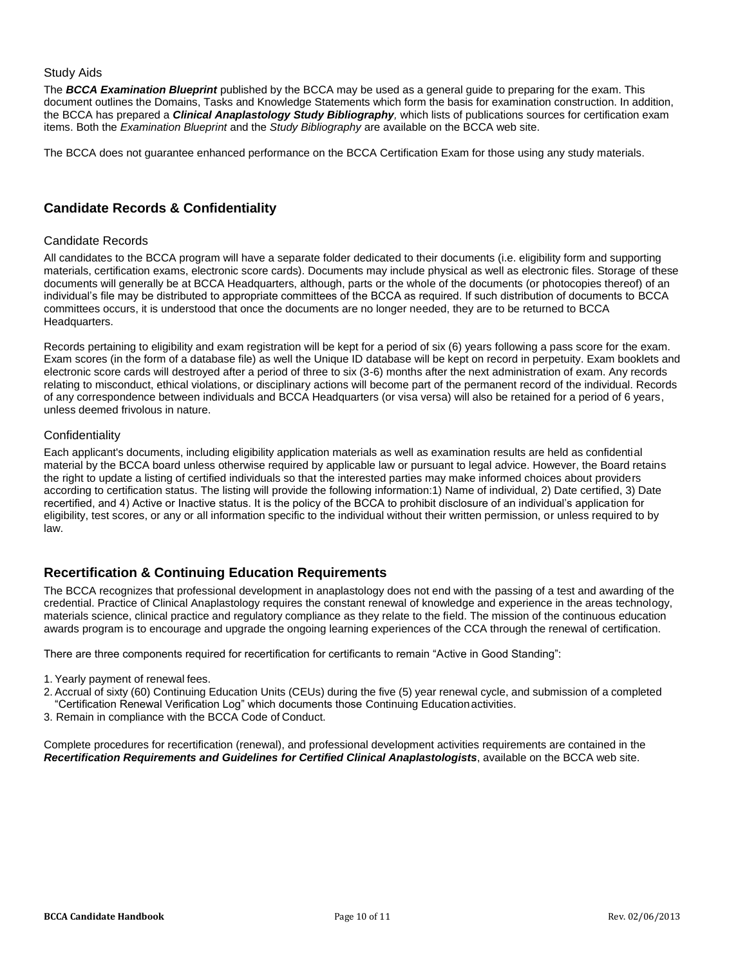#### Study Aids

The *BCCA Examination Blueprint* published by the BCCA may be used as a general guide to preparing for the exam. This document outlines the Domains, Tasks and Knowledge Statements which form the basis for examination construction. In addition, the BCCA has prepared a *Clinical Anaplastology Study Bibliography,* which lists of publications sources for certification exam items. Both the *Examination Blueprint* and the *Study Bibliography* are available on the BCCA web site.

The BCCA does not guarantee enhanced performance on the BCCA Certification Exam for those using any study materials.

# <span id="page-9-0"></span>**Candidate Records & Confidentiality**

#### Candidate Records

All candidates to the BCCA program will have a separate folder dedicated to their documents (i.e. eligibility form and supporting materials, certification exams, electronic score cards). Documents may include physical as well as electronic files. Storage of these documents will generally be at BCCA Headquarters, although, parts or the whole of the documents (or photocopies thereof) of an individual's file may be distributed to appropriate committees of the BCCA as required. If such distribution of documents to BCCA committees occurs, it is understood that once the documents are no longer needed, they are to be returned to BCCA Headquarters.

Records pertaining to eligibility and exam registration will be kept for a period of six (6) years following a pass score for the exam. Exam scores (in the form of a database file) as well the Unique ID database will be kept on record in perpetuity. Exam booklets and electronic score cards will destroyed after a period of three to six (3-6) months after the next administration of exam. Any records relating to misconduct, ethical violations, or disciplinary actions will become part of the permanent record of the individual. Records of any correspondence between individuals and BCCA Headquarters (or visa versa) will also be retained for a period of 6 years, unless deemed frivolous in nature.

#### **Confidentiality**

Each applicant's documents, including eligibility application materials as well as examination results are held as confidential material by the BCCA board unless otherwise required by applicable law or pursuant to legal advice. However, the Board retains the right to update a listing of certified individuals so that the interested parties may make informed choices about providers according to certification status. The listing will provide the following information:1) Name of individual, 2) Date certified, 3) Date recertified, and 4) Active or Inactive status. It is the policy of the BCCA to prohibit disclosure of an individual's application for eligibility, test scores, or any or all information specific to the individual without their written permission, or unless required to by law.

# <span id="page-9-1"></span>**Recertification & Continuing Education Requirements**

The BCCA recognizes that professional development in anaplastology does not end with the passing of a test and awarding of the credential. Practice of Clinical Anaplastology requires the constant renewal of knowledge and experience in the areas technology, materials science, clinical practice and regulatory compliance as they relate to the field. The mission of the continuous education awards program is to encourage and upgrade the ongoing learning experiences of the CCA through the renewal of certification.

There are three components required for recertification for certificants to remain "Active in Good Standing":

- 1. Yearly payment of renewal fees.
- 2. Accrual of sixty (60) Continuing Education Units (CEUs) during the five (5) year renewal cycle, and submission of a completed "Certification Renewal Verification Log" which documents those Continuing Educationactivities.
- 3. Remain in compliance with the BCCA Code of Conduct.

Complete procedures for recertification (renewal), and professional development activities requirements are contained in the *Recertification Requirements and Guidelines for Certified Clinical Anaplastologists*, available on the BCCA web site.